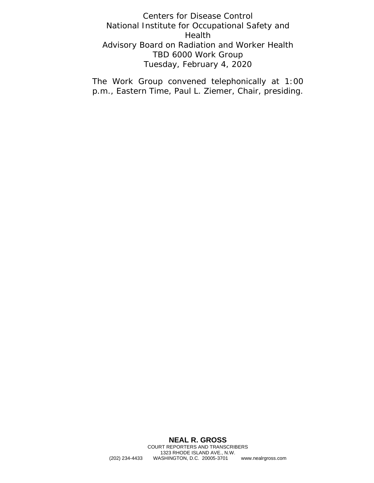<span id="page-0-0"></span>Centers for Disease Control National Institute for Occupational Safety and Health Advisory Board on Radiation and Worker Health TBD 6000 Work Group Tuesday, February 4, 2020

The Work Group convened telephonically at 1:00 p.m., Eastern Time, Paul L. Ziemer, Chair, presiding.

#### **NEAL R. GROSS**

COURT REPORTERS AND TRANSCRIBERS 1323 RHODE ISLAND AVE., N.W. (202) 234-4433 WASHINGTON, D.C. 20005-3701 www.nealrgross.com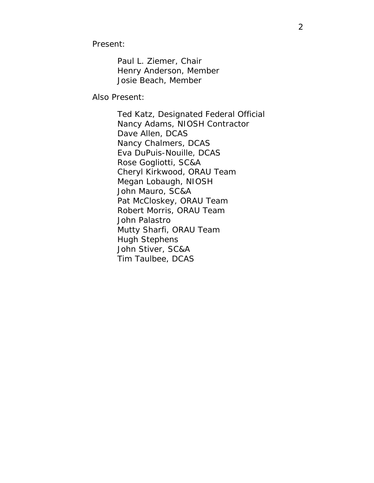Present:

Paul L. Ziemer, Chair Henry Anderson, Member Josie Beach, Member

Also Present:

Ted Katz, Designated Federal Official Nancy Adams, NIOSH Contractor Dave Allen, DCAS Nancy Chalmers, DCAS Eva DuPuis-Nouille, DCAS Rose Gogliotti, SC&A Cheryl Kirkwood, ORAU Team Megan Lobaugh, NIOSH John Mauro, SC&A Pat McCloskey, ORAU Team Robert Morris, ORAU Team John Palastro Mutty Sharfi, ORAU Team Hugh Stephens John Stiver, SC&A Tim Taulbee, DCAS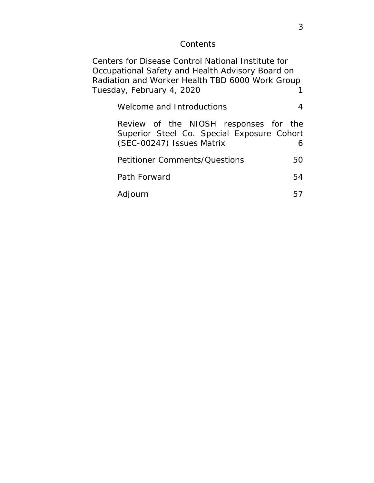# **Contents**

| Centers for Disease Control National Institute for<br>Occupational Safety and Health Advisory Board on<br>Radiation and Worker Health TBD 6000 Work Group |    |
|-----------------------------------------------------------------------------------------------------------------------------------------------------------|----|
| Tuesday, February 4, 2020                                                                                                                                 |    |
| Welcome and Introductions                                                                                                                                 |    |
| Review of the NIOSH responses for the<br>Superior Steel Co. Special Exposure Cohort<br>(SEC-00247) Issues Matrix                                          | 6  |
| <b>Petitioner Comments/Questions</b>                                                                                                                      | 50 |
| Path Forward                                                                                                                                              | 54 |
| Adjourn                                                                                                                                                   |    |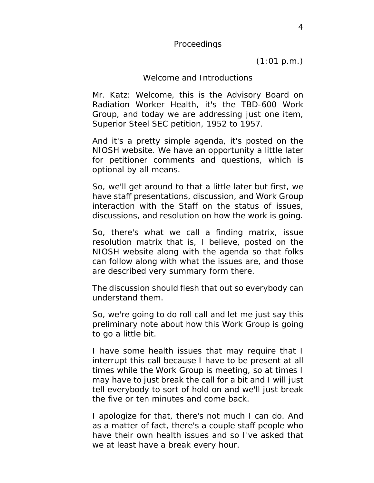#### **Proceedings**

 $(1:01 \text{ p.m.})$ 

### Welcome and Introductions

<span id="page-3-0"></span>Mr. Katz: Welcome, this is the Advisory Board on Radiation Worker Health, it's the TBD-600 Work Group, and today we are addressing just one item, Superior Steel SEC petition, 1952 to 1957.

And it's a pretty simple agenda, it's posted on the NIOSH website. We have an opportunity a little later for petitioner comments and questions, which is optional by all means.

So, we'll get around to that a little later but first, we have staff presentations, discussion, and Work Group interaction with the Staff on the status of issues, discussions, and resolution on how the work is going.

So, there's what we call a finding matrix, issue resolution matrix that is, I believe, posted on the NIOSH website along with the agenda so that folks can follow along with what the issues are, and those are described very summary form there.

The discussion should flesh that out so everybody can understand them.

So, we're going to do roll call and let me just say this preliminary note about how this Work Group is going to go a little bit.

I have some health issues that may require that I interrupt this call because I have to be present at all times while the Work Group is meeting, so at times I may have to just break the call for a bit and I will just tell everybody to sort of hold on and we'll just break the five or ten minutes and come back.

I apologize for that, there's not much I can do. And as a matter of fact, there's a couple staff people who have their own health issues and so I've asked that we at least have a break every hour.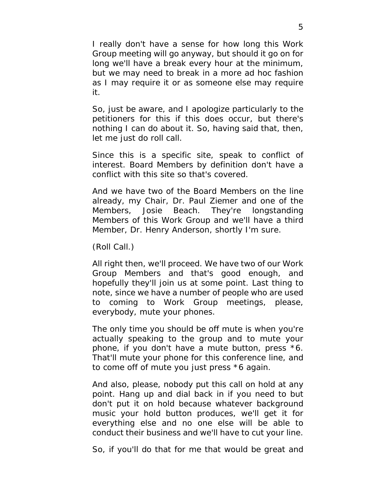I really don't have a sense for how long this Work Group meeting will go anyway, but should it go on for long we'll have a break every hour at the minimum, but we may need to break in a more ad hoc fashion as I may require it or as someone else may require it.

So, just be aware, and I apologize particularly to the petitioners for this if this does occur, but there's nothing I can do about it. So, having said that, then, let me just do roll call.

Since this is a specific site, speak to conflict of interest. Board Members by definition don't have a conflict with this site so that's covered.

And we have two of the Board Members on the line already, my Chair, Dr. Paul Ziemer and one of the Members, Josie Beach. They're longstanding Members of this Work Group and we'll have a third Member, Dr. Henry Anderson, shortly I'm sure.

(Roll Call.)

All right then, we'll proceed. We have two of our Work Group Members and that's good enough, and hopefully they'll join us at some point. Last thing to note, since we have a number of people who are used to coming to Work Group meetings, please, everybody, mute your phones.

The only time you should be off mute is when you're actually speaking to the group and to mute your phone, if you don't have a mute button, press \*6. That'll mute your phone for this conference line, and to come off of mute you just press \*6 again.

And also, please, nobody put this call on hold at any point. Hang up and dial back in if you need to but don't put it on hold because whatever background music your hold button produces, we'll get it for everything else and no one else will be able to conduct their business and we'll have to cut your line.

So, if you'll do that for me that would be great and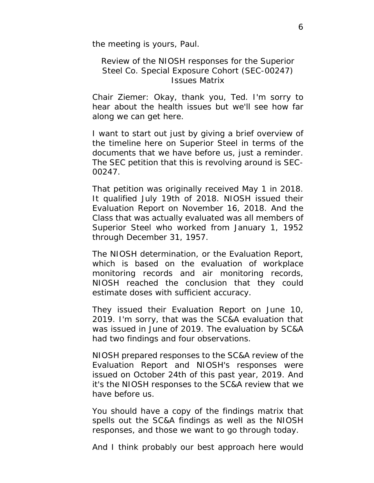the meeting is yours, Paul.

## <span id="page-5-0"></span>Review of the NIOSH responses for the Superior Steel Co. Special Exposure Cohort (SEC-00247) Issues Matrix

Chair Ziemer: Okay, thank you, Ted. I'm sorry to hear about the health issues but we'll see how far along we can get here.

I want to start out just by giving a brief overview of the timeline here on Superior Steel in terms of the documents that we have before us, just a reminder. The SEC petition that this is revolving around is SEC-00247.

That petition was originally received May 1 in 2018. It qualified July 19th of 2018. NIOSH issued their Evaluation Report on November 16, 2018. And the Class that was actually evaluated was all members of Superior Steel who worked from January 1, 1952 through December 31, 1957.

The NIOSH determination, or the Evaluation Report, which is based on the evaluation of workplace monitoring records and air monitoring records, NIOSH reached the conclusion that they could estimate doses with sufficient accuracy.

They issued their Evaluation Report on June 10, 2019. I'm sorry, that was the SC&A evaluation that was issued in June of 2019. The evaluation by SC&A had two findings and four observations.

NIOSH prepared responses to the SC&A review of the Evaluation Report and NIOSH's responses were issued on October 24th of this past year, 2019. And it's the NIOSH responses to the SC&A review that we have before us.

You should have a copy of the findings matrix that spells out the SC&A findings as well as the NIOSH responses, and those we want to go through today.

And I think probably our best approach here would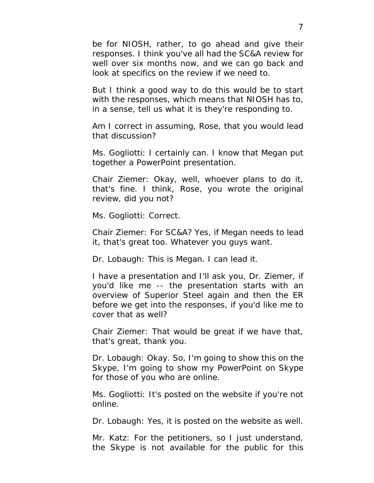be for NIOSH, rather, to go ahead and give their responses. I think you've all had the SC&A review for well over six months now, and we can go back and look at specifics on the review if we need to.

But I think a good way to do this would be to start with the responses, which means that NIOSH has to, in a sense, tell us what it is they're responding to.

Am I correct in assuming, Rose, that you would lead that discussion?

Ms. Gogliotti: I certainly can. I know that Megan put together a PowerPoint presentation.

Chair Ziemer: Okay, well, whoever plans to do it, that's fine. I think, Rose, you wrote the original review, did you not?

Ms. Gogliotti: Correct.

Chair Ziemer: For SC&A? Yes, if Megan needs to lead it, that's great too. Whatever you guys want.

Dr. Lobaugh: This is Megan. I can lead it.

I have a presentation and I'll ask you, Dr. Ziemer, if you'd like me -- the presentation starts with an overview of Superior Steel again and then the ER before we get into the responses, if you'd like me to cover that as well?

Chair Ziemer: That would be great if we have that, that's great, thank you.

Dr. Lobaugh: Okay. So, I'm going to show this on the Skype, I'm going to show my PowerPoint on Skype for those of you who are online.

Ms. Gogliotti: It's posted on the website if you're not online.

Dr. Lobaugh: Yes, it is posted on the website as well.

Mr. Katz: For the petitioners, so I just understand, the Skype is not available for the public for this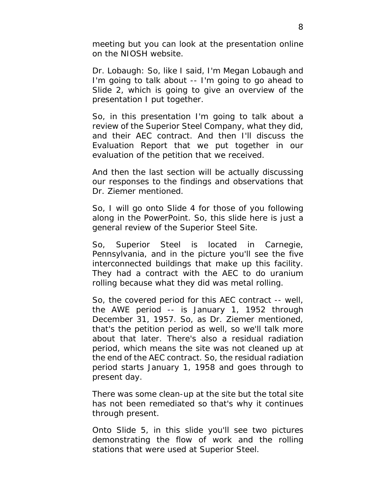meeting but you can look at the presentation online on the NIOSH website.

Dr. Lobaugh: So, like I said, I'm Megan Lobaugh and I'm going to talk about -- I'm going to go ahead to Slide 2, which is going to give an overview of the presentation I put together.

So, in this presentation I'm going to talk about a review of the Superior Steel Company, what they did, and their AEC contract. And then I'll discuss the Evaluation Report that we put together in our evaluation of the petition that we received.

And then the last section will be actually discussing our responses to the findings and observations that Dr. Ziemer mentioned.

So, I will go onto Slide 4 for those of you following along in the PowerPoint. So, this slide here is just a general review of the Superior Steel Site.

So, Superior Steel is located in Carnegie, Pennsylvania, and in the picture you'll see the five interconnected buildings that make up this facility. They had a contract with the AEC to do uranium rolling because what they did was metal rolling.

So, the covered period for this AEC contract -- well, the AWE period -- is January 1, 1952 through December 31, 1957. So, as Dr. Ziemer mentioned, that's the petition period as well, so we'll talk more about that later. There's also a residual radiation period, which means the site was not cleaned up at the end of the AEC contract. So, the residual radiation period starts January 1, 1958 and goes through to present day.

There was some clean-up at the site but the total site has not been remediated so that's why it continues through present.

Onto Slide 5, in this slide you'll see two pictures demonstrating the flow of work and the rolling stations that were used at Superior Steel.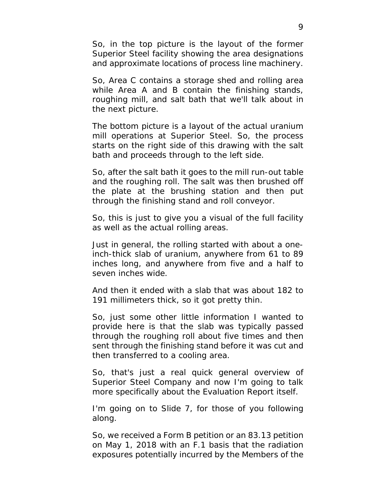So, in the top picture is the layout of the former Superior Steel facility showing the area designations and approximate locations of process line machinery.

So, Area C contains a storage shed and rolling area while Area A and B contain the finishing stands, roughing mill, and salt bath that we'll talk about in the next picture.

The bottom picture is a layout of the actual uranium mill operations at Superior Steel. So, the process starts on the right side of this drawing with the salt bath and proceeds through to the left side.

So, after the salt bath it goes to the mill run-out table and the roughing roll. The salt was then brushed off the plate at the brushing station and then put through the finishing stand and roll conveyor.

So, this is just to give you a visual of the full facility as well as the actual rolling areas.

Just in general, the rolling started with about a oneinch-thick slab of uranium, anywhere from 61 to 89 inches long, and anywhere from five and a half to seven inches wide.

And then it ended with a slab that was about 182 to 191 millimeters thick, so it got pretty thin.

So, just some other little information I wanted to provide here is that the slab was typically passed through the roughing roll about five times and then sent through the finishing stand before it was cut and then transferred to a cooling area.

So, that's just a real quick general overview of Superior Steel Company and now I'm going to talk more specifically about the Evaluation Report itself.

I'm going on to Slide 7, for those of you following along.

So, we received a Form B petition or an 83.13 petition on May 1, 2018 with an F.1 basis that the radiation exposures potentially incurred by the Members of the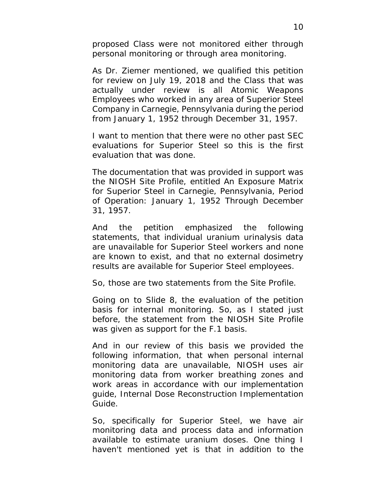proposed Class were not monitored either through personal monitoring or through area monitoring.

As Dr. Ziemer mentioned, we qualified this petition for review on July 19, 2018 and the Class that was actually under review is all Atomic Weapons Employees who worked in any area of Superior Steel Company in Carnegie, Pennsylvania during the period from January 1, 1952 through December 31, 1957.

I want to mention that there were no other past SEC evaluations for Superior Steel so this is the first evaluation that was done.

The documentation that was provided in support was the NIOSH Site Profile, entitled An Exposure Matrix for Superior Steel in Carnegie, Pennsylvania, Period of Operation: January 1, 1952 Through December 31, 1957.

And the petition emphasized the following statements, that individual uranium urinalysis data are unavailable for Superior Steel workers and none are known to exist, and that no external dosimetry results are available for Superior Steel employees.

So, those are two statements from the Site Profile.

Going on to Slide 8, the evaluation of the petition basis for internal monitoring. So, as I stated just before, the statement from the NIOSH Site Profile was given as support for the F.1 basis.

And in our review of this basis we provided the following information, that when personal internal monitoring data are unavailable, NIOSH uses air monitoring data from worker breathing zones and work areas in accordance with our implementation guide, Internal Dose Reconstruction Implementation Guide.

So, specifically for Superior Steel, we have air monitoring data and process data and information available to estimate uranium doses. One thing I haven't mentioned yet is that in addition to the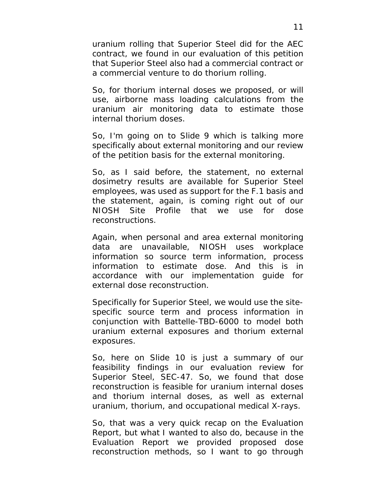uranium rolling that Superior Steel did for the AEC contract, we found in our evaluation of this petition that Superior Steel also had a commercial contract or a commercial venture to do thorium rolling.

So, for thorium internal doses we proposed, or will use, airborne mass loading calculations from the uranium air monitoring data to estimate those internal thorium doses.

So, I'm going on to Slide 9 which is talking more specifically about external monitoring and our review of the petition basis for the external monitoring.

So, as I said before, the statement, no external dosimetry results are available for Superior Steel employees, was used as support for the F.1 basis and the statement, again, is coming right out of our NIOSH Site Profile that we use for dose reconstructions.

Again, when personal and area external monitoring data are unavailable, NIOSH uses workplace information so source term information, process information to estimate dose. And this is in accordance with our implementation guide for external dose reconstruction.

Specifically for Superior Steel, we would use the sitespecific source term and process information in conjunction with Battelle-TBD-6000 to model both uranium external exposures and thorium external exposures.

So, here on Slide 10 is just a summary of our feasibility findings in our evaluation review for Superior Steel, SEC-47. So, we found that dose reconstruction is feasible for uranium internal doses and thorium internal doses, as well as external uranium, thorium, and occupational medical X-rays.

So, that was a very quick recap on the Evaluation Report, but what I wanted to also do, because in the Evaluation Report we provided proposed dose reconstruction methods, so I want to go through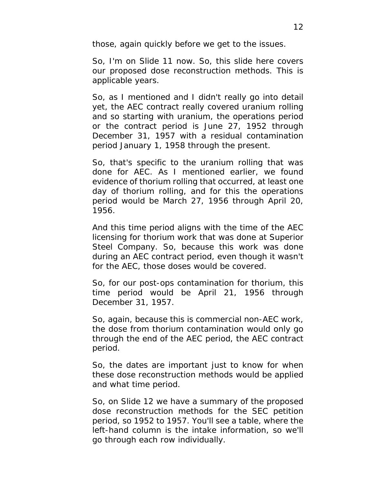those, again quickly before we get to the issues.

So, I'm on Slide 11 now. So, this slide here covers our proposed dose reconstruction methods. This is applicable years.

So, as I mentioned and I didn't really go into detail yet, the AEC contract really covered uranium rolling and so starting with uranium, the operations period or the contract period is June 27, 1952 through December 31, 1957 with a residual contamination period January 1, 1958 through the present.

So, that's specific to the uranium rolling that was done for AEC. As I mentioned earlier, we found evidence of thorium rolling that occurred, at least one day of thorium rolling, and for this the operations period would be March 27, 1956 through April 20, 1956.

And this time period aligns with the time of the AEC licensing for thorium work that was done at Superior Steel Company. So, because this work was done during an AEC contract period, even though it wasn't for the AEC, those doses would be covered.

So, for our post-ops contamination for thorium, this time period would be April 21, 1956 through December 31, 1957.

So, again, because this is commercial non-AEC work, the dose from thorium contamination would only go through the end of the AEC period, the AEC contract period.

So, the dates are important just to know for when these dose reconstruction methods would be applied and what time period.

So, on Slide 12 we have a summary of the proposed dose reconstruction methods for the SEC petition period, so 1952 to 1957. You'll see a table, where the left-hand column is the intake information, so we'll go through each row individually.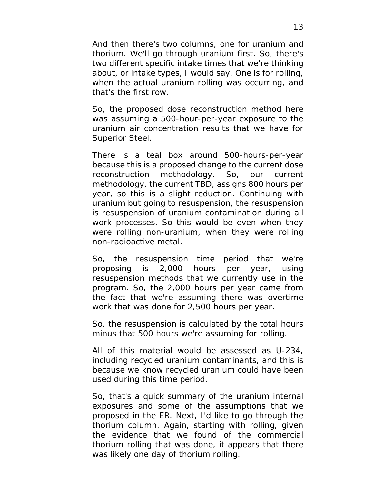And then there's two columns, one for uranium and thorium. We'll go through uranium first. So, there's two different specific intake times that we're thinking about, or intake types, I would say. One is for rolling, when the actual uranium rolling was occurring, and that's the first row.

So, the proposed dose reconstruction method here was assuming a 500-hour-per-year exposure to the uranium air concentration results that we have for Superior Steel.

There is a teal box around 500-hours-per-year because this is a proposed change to the current dose reconstruction methodology. So, our current methodology, the current TBD, assigns 800 hours per year, so this is a slight reduction. Continuing with uranium but going to resuspension, the resuspension is resuspension of uranium contamination during all work processes. So this would be even when they were rolling non-uranium, when they were rolling non-radioactive metal.

So, the resuspension time period that we're proposing is 2,000 hours per year, using resuspension methods that we currently use in the program. So, the 2,000 hours per year came from the fact that we're assuming there was overtime work that was done for 2,500 hours per year.

So, the resuspension is calculated by the total hours minus that 500 hours we're assuming for rolling.

All of this material would be assessed as U-234, including recycled uranium contaminants, and this is because we know recycled uranium could have been used during this time period.

So, that's a quick summary of the uranium internal exposures and some of the assumptions that we proposed in the ER. Next, I'd like to go through the thorium column. Again, starting with rolling, given the evidence that we found of the commercial thorium rolling that was done, it appears that there was likely one day of thorium rolling.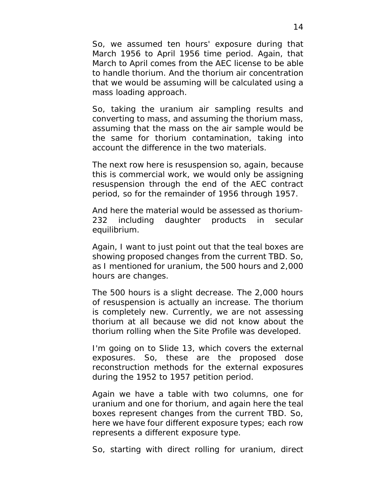So, we assumed ten hours' exposure during that March 1956 to April 1956 time period. Again, that March to April comes from the AEC license to be able to handle thorium. And the thorium air concentration that we would be assuming will be calculated using a mass loading approach.

So, taking the uranium air sampling results and converting to mass, and assuming the thorium mass, assuming that the mass on the air sample would be the same for thorium contamination, taking into account the difference in the two materials.

The next row here is resuspension so, again, because this is commercial work, we would only be assigning resuspension through the end of the AEC contract period, so for the remainder of 1956 through 1957.

And here the material would be assessed as thorium-232 including daughter products in secular equilibrium.

Again, I want to just point out that the teal boxes are showing proposed changes from the current TBD. So, as I mentioned for uranium, the 500 hours and 2,000 hours are changes.

The 500 hours is a slight decrease. The 2,000 hours of resuspension is actually an increase. The thorium is completely new. Currently, we are not assessing thorium at all because we did not know about the thorium rolling when the Site Profile was developed.

I'm going on to Slide 13, which covers the external exposures. So, these are the proposed dose reconstruction methods for the external exposures during the 1952 to 1957 petition period.

Again we have a table with two columns, one for uranium and one for thorium, and again here the teal boxes represent changes from the current TBD. So, here we have four different exposure types; each row represents a different exposure type.

So, starting with direct rolling for uranium, direct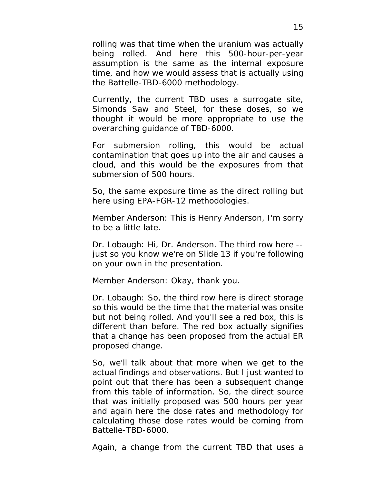rolling was that time when the uranium was actually being rolled. And here this 500-hour-per-year assumption is the same as the internal exposure time, and how we would assess that is actually using the Battelle-TBD-6000 methodology.

Currently, the current TBD uses a surrogate site, Simonds Saw and Steel, for these doses, so we thought it would be more appropriate to use the overarching guidance of TBD-6000.

For submersion rolling, this would be actual contamination that goes up into the air and causes a cloud, and this would be the exposures from that submersion of 500 hours.

So, the same exposure time as the direct rolling but here using EPA-FGR-12 methodologies.

Member Anderson: This is Henry Anderson, I'm sorry to be a little late.

Dr. Lobaugh: Hi, Dr. Anderson. The third row here - just so you know we're on Slide 13 if you're following on your own in the presentation.

Member Anderson: Okay, thank you.

Dr. Lobaugh: So, the third row here is direct storage so this would be the time that the material was onsite but not being rolled. And you'll see a red box, this is different than before. The red box actually signifies that a change has been proposed from the actual ER proposed change.

So, we'll talk about that more when we get to the actual findings and observations. But I just wanted to point out that there has been a subsequent change from this table of information. So, the direct source that was initially proposed was 500 hours per year and again here the dose rates and methodology for calculating those dose rates would be coming from Battelle-TBD-6000.

Again, a change from the current TBD that uses a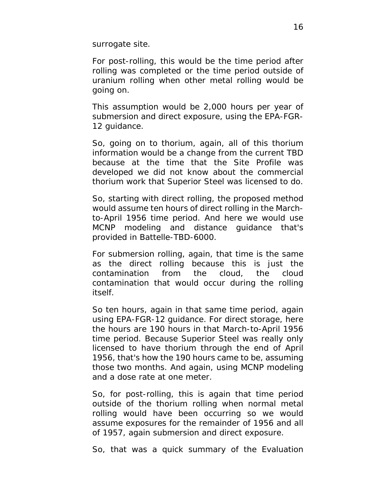surrogate site.

For post-rolling, this would be the time period after rolling was completed or the time period outside of uranium rolling when other metal rolling would be going on.

This assumption would be 2,000 hours per year of submersion and direct exposure, using the EPA-FGR-12 guidance.

So, going on to thorium, again, all of this thorium information would be a change from the current TBD because at the time that the Site Profile was developed we did not know about the commercial thorium work that Superior Steel was licensed to do.

So, starting with direct rolling, the proposed method would assume ten hours of direct rolling in the Marchto-April 1956 time period. And here we would use MCNP modeling and distance guidance that's provided in Battelle-TBD-6000.

For submersion rolling, again, that time is the same as the direct rolling because this is just the contamination from the cloud, the cloud contamination that would occur during the rolling itself.

So ten hours, again in that same time period, again using EPA-FGR-12 guidance. For direct storage, here the hours are 190 hours in that March-to-April 1956 time period. Because Superior Steel was really only licensed to have thorium through the end of April 1956, that's how the 190 hours came to be, assuming those two months. And again, using MCNP modeling and a dose rate at one meter.

So, for post-rolling, this is again that time period outside of the thorium rolling when normal metal rolling would have been occurring so we would assume exposures for the remainder of 1956 and all of 1957, again submersion and direct exposure.

So, that was a quick summary of the Evaluation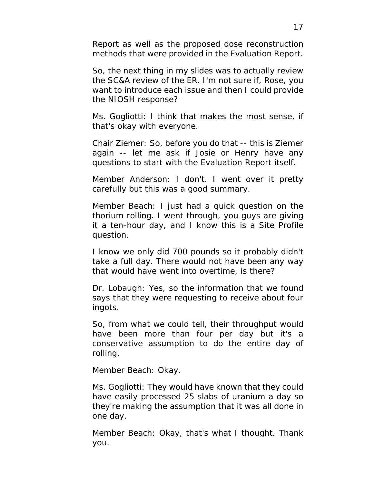Report as well as the proposed dose reconstruction methods that were provided in the Evaluation Report.

So, the next thing in my slides was to actually review the SC&A review of the ER. I'm not sure if, Rose, you want to introduce each issue and then I could provide the NIOSH response?

Ms. Gogliotti: I think that makes the most sense, if that's okay with everyone.

Chair Ziemer: So, before you do that -- this is Ziemer again -- let me ask if Josie or Henry have any questions to start with the Evaluation Report itself.

Member Anderson: I don't. I went over it pretty carefully but this was a good summary.

Member Beach: I just had a quick question on the thorium rolling. I went through, you guys are giving it a ten-hour day, and I know this is a Site Profile question.

I know we only did 700 pounds so it probably didn't take a full day. There would not have been any way that would have went into overtime, is there?

Dr. Lobaugh: Yes, so the information that we found says that they were requesting to receive about four ingots.

So, from what we could tell, their throughput would have been more than four per day but it's a conservative assumption to do the entire day of rolling.

Member Beach: Okay.

Ms. Gogliotti: They would have known that they could have easily processed 25 slabs of uranium a day so they're making the assumption that it was all done in one day.

Member Beach: Okay, that's what I thought. Thank you.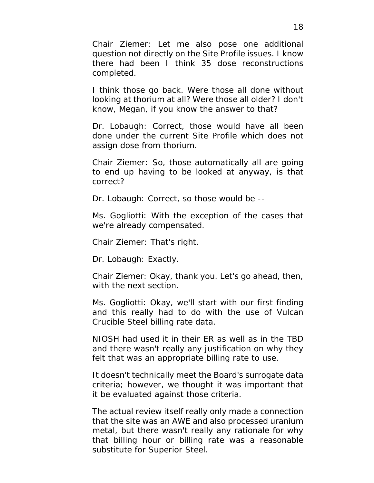Chair Ziemer: Let me also pose one additional question not directly on the Site Profile issues. I know there had been I think 35 dose reconstructions completed.

I think those go back. Were those all done without looking at thorium at all? Were those all older? I don't know, Megan, if you know the answer to that?

Dr. Lobaugh: Correct, those would have all been done under the current Site Profile which does not assign dose from thorium.

Chair Ziemer: So, those automatically all are going to end up having to be looked at anyway, is that correct?

Dr. Lobaugh: Correct, so those would be --

Ms. Gogliotti: With the exception of the cases that we're already compensated.

Chair Ziemer: That's right.

Dr. Lobaugh: Exactly.

Chair Ziemer: Okay, thank you. Let's go ahead, then, with the next section.

Ms. Gogliotti: Okay, we'll start with our first finding and this really had to do with the use of Vulcan Crucible Steel billing rate data.

NIOSH had used it in their ER as well as in the TBD and there wasn't really any justification on why they felt that was an appropriate billing rate to use.

It doesn't technically meet the Board's surrogate data criteria; however, we thought it was important that it be evaluated against those criteria.

The actual review itself really only made a connection that the site was an AWE and also processed uranium metal, but there wasn't really any rationale for why that billing hour or billing rate was a reasonable substitute for Superior Steel.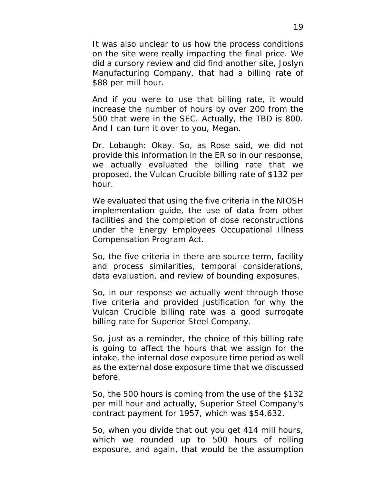It was also unclear to us how the process conditions on the site were really impacting the final price. We did a cursory review and did find another site, Joslyn Manufacturing Company, that had a billing rate of \$88 per mill hour.

And if you were to use that billing rate, it would increase the number of hours by over 200 from the 500 that were in the SEC. Actually, the TBD is 800. And I can turn it over to you, Megan.

Dr. Lobaugh: Okay. So, as Rose said, we did not provide this information in the ER so in our response, we actually evaluated the billing rate that we proposed, the Vulcan Crucible billing rate of \$132 per hour.

We evaluated that using the five criteria in the NIOSH implementation guide, the use of data from other facilities and the completion of dose reconstructions under the Energy Employees Occupational Illness Compensation Program Act.

So, the five criteria in there are source term, facility and process similarities, temporal considerations, data evaluation, and review of bounding exposures.

So, in our response we actually went through those five criteria and provided justification for why the Vulcan Crucible billing rate was a good surrogate billing rate for Superior Steel Company.

So, just as a reminder, the choice of this billing rate is going to affect the hours that we assign for the intake, the internal dose exposure time period as well as the external dose exposure time that we discussed before.

So, the 500 hours is coming from the use of the \$132 per mill hour and actually, Superior Steel Company's contract payment for 1957, which was \$54,632.

So, when you divide that out you get 414 mill hours, which we rounded up to 500 hours of rolling exposure, and again, that would be the assumption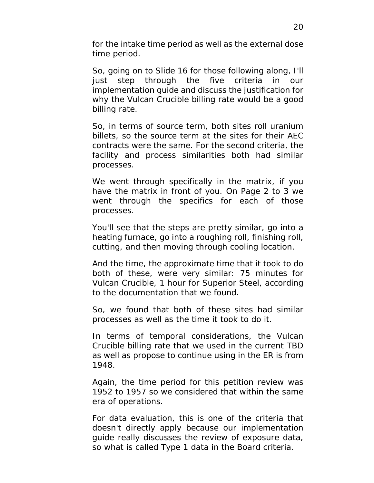for the intake time period as well as the external dose time period.

So, going on to Slide 16 for those following along, I'll just step through the five criteria in our implementation guide and discuss the justification for why the Vulcan Crucible billing rate would be a good billing rate.

So, in terms of source term, both sites roll uranium billets, so the source term at the sites for their AEC contracts were the same. For the second criteria, the facility and process similarities both had similar processes.

We went through specifically in the matrix, if you have the matrix in front of you. On Page 2 to 3 we went through the specifics for each of those processes.

You'll see that the steps are pretty similar, go into a heating furnace, go into a roughing roll, finishing roll, cutting, and then moving through cooling location.

And the time, the approximate time that it took to do both of these, were very similar: 75 minutes for Vulcan Crucible, 1 hour for Superior Steel, according to the documentation that we found.

So, we found that both of these sites had similar processes as well as the time it took to do it.

In terms of temporal considerations, the Vulcan Crucible billing rate that we used in the current TBD as well as propose to continue using in the ER is from 1948.

Again, the time period for this petition review was 1952 to 1957 so we considered that within the same era of operations.

For data evaluation, this is one of the criteria that doesn't directly apply because our implementation guide really discusses the review of exposure data, so what is called Type 1 data in the Board criteria.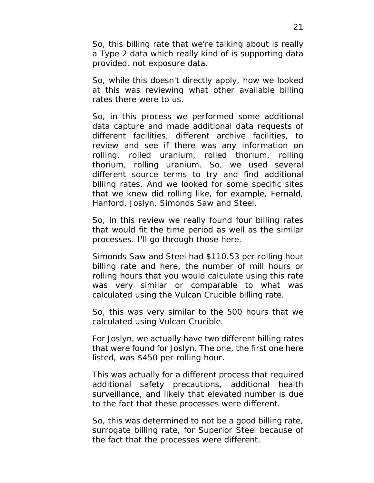So, this billing rate that we're talking about is really a Type 2 data which really kind of is supporting data provided, not exposure data.

So, while this doesn't directly apply, how we looked at this was reviewing what other available billing rates there were to us.

So, in this process we performed some additional data capture and made additional data requests of different facilities, different archive facilities, to review and see if there was any information on rolling, rolled uranium, rolled thorium, rolling thorium, rolling uranium. So, we used several different source terms to try and find additional billing rates. And we looked for some specific sites that we knew did rolling like, for example, Fernald, Hanford, Joslyn, Simonds Saw and Steel.

So, in this review we really found four billing rates that would fit the time period as well as the similar processes. I'll go through those here.

Simonds Saw and Steel had \$110.53 per rolling hour billing rate and here, the number of mill hours or rolling hours that you would calculate using this rate was very similar or comparable to what was calculated using the Vulcan Crucible billing rate.

So, this was very similar to the 500 hours that we calculated using Vulcan Crucible.

For Joslyn, we actually have two different billing rates that were found for Joslyn. The one, the first one here listed, was \$450 per rolling hour.

This was actually for a different process that required additional safety precautions, additional health surveillance, and likely that elevated number is due to the fact that these processes were different.

So, this was determined to not be a good billing rate, surrogate billing rate, for Superior Steel because of the fact that the processes were different.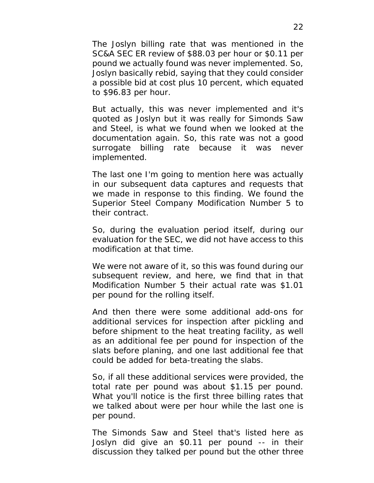The Joslyn billing rate that was mentioned in the SC&A SEC ER review of \$88.03 per hour or \$0.11 per pound we actually found was never implemented. So, Joslyn basically rebid, saying that they could consider a possible bid at cost plus 10 percent, which equated to \$96.83 per hour.

But actually, this was never implemented and it's quoted as Joslyn but it was really for Simonds Saw and Steel, is what we found when we looked at the documentation again. So, this rate was not a good surrogate billing rate because it was never implemented.

The last one I'm going to mention here was actually in our subsequent data captures and requests that we made in response to this finding. We found the Superior Steel Company Modification Number 5 to their contract.

So, during the evaluation period itself, during our evaluation for the SEC, we did not have access to this modification at that time.

We were not aware of it, so this was found during our subsequent review, and here, we find that in that Modification Number 5 their actual rate was \$1.01 per pound for the rolling itself.

And then there were some additional add-ons for additional services for inspection after pickling and before shipment to the heat treating facility, as well as an additional fee per pound for inspection of the slats before planing, and one last additional fee that could be added for beta-treating the slabs.

So, if all these additional services were provided, the total rate per pound was about \$1.15 per pound. What you'll notice is the first three billing rates that we talked about were per hour while the last one is per pound.

The Simonds Saw and Steel that's listed here as Joslyn did give an \$0.11 per pound -- in their discussion they talked per pound but the other three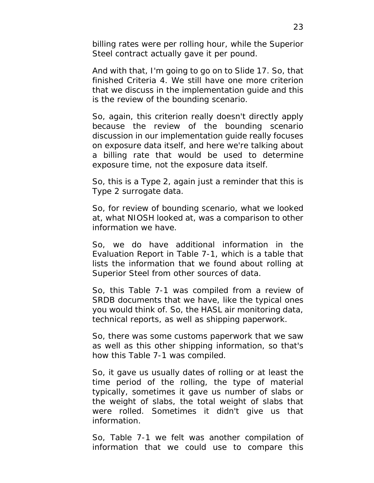billing rates were per rolling hour, while the Superior Steel contract actually gave it per pound.

And with that, I'm going to go on to Slide 17. So, that finished Criteria 4. We still have one more criterion that we discuss in the implementation guide and this is the review of the bounding scenario.

So, again, this criterion really doesn't directly apply because the review of the bounding scenario discussion in our implementation guide really focuses on exposure data itself, and here we're talking about a billing rate that would be used to determine exposure time, not the exposure data itself.

So, this is a Type 2, again just a reminder that this is Type 2 surrogate data.

So, for review of bounding scenario, what we looked at, what NIOSH looked at, was a comparison to other information we have.

So, we do have additional information in the Evaluation Report in Table 7-1, which is a table that lists the information that we found about rolling at Superior Steel from other sources of data.

So, this Table 7-1 was compiled from a review of SRDB documents that we have, like the typical ones you would think of. So, the HASL air monitoring data, technical reports, as well as shipping paperwork.

So, there was some customs paperwork that we saw as well as this other shipping information, so that's how this Table 7-1 was compiled.

So, it gave us usually dates of rolling or at least the time period of the rolling, the type of material typically, sometimes it gave us number of slabs or the weight of slabs, the total weight of slabs that were rolled. Sometimes it didn't give us that information.

So, Table 7-1 we felt was another compilation of information that we could use to compare this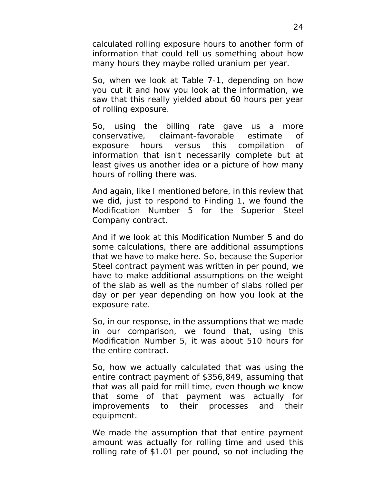calculated rolling exposure hours to another form of information that could tell us something about how many hours they maybe rolled uranium per year.

So, when we look at Table 7-1, depending on how you cut it and how you look at the information, we saw that this really yielded about 60 hours per year of rolling exposure.

So, using the billing rate gave us a more conservative, claimant-favorable estimate of exposure hours versus this compilation of information that isn't necessarily complete but at least gives us another idea or a picture of how many hours of rolling there was.

And again, like I mentioned before, in this review that we did, just to respond to Finding 1, we found the Modification Number 5 for the Superior Steel Company contract.

And if we look at this Modification Number 5 and do some calculations, there are additional assumptions that we have to make here. So, because the Superior Steel contract payment was written in per pound, we have to make additional assumptions on the weight of the slab as well as the number of slabs rolled per day or per year depending on how you look at the exposure rate.

So, in our response, in the assumptions that we made in our comparison, we found that, using this Modification Number 5, it was about 510 hours for the entire contract.

So, how we actually calculated that was using the entire contract payment of \$356,849, assuming that that was all paid for mill time, even though we know that some of that payment was actually for improvements to their processes and their equipment.

We made the assumption that that entire payment amount was actually for rolling time and used this rolling rate of \$1.01 per pound, so not including the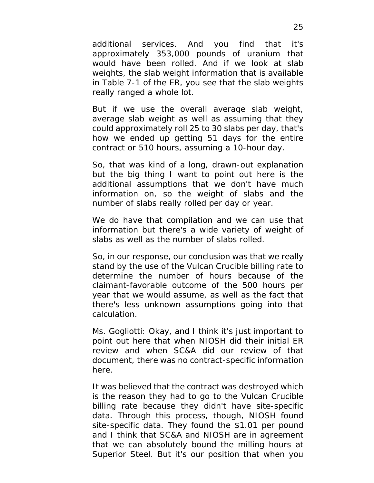additional services. And you find that it's approximately 353,000 pounds of uranium that would have been rolled. And if we look at slab weights, the slab weight information that is available in Table 7-1 of the ER, you see that the slab weights really ranged a whole lot.

But if we use the overall average slab weight, average slab weight as well as assuming that they could approximately roll 25 to 30 slabs per day, that's how we ended up getting 51 days for the entire contract or 510 hours, assuming a 10-hour day.

So, that was kind of a long, drawn-out explanation but the big thing I want to point out here is the additional assumptions that we don't have much information on, so the weight of slabs and the number of slabs really rolled per day or year.

We do have that compilation and we can use that information but there's a wide variety of weight of slabs as well as the number of slabs rolled.

So, in our response, our conclusion was that we really stand by the use of the Vulcan Crucible billing rate to determine the number of hours because of the claimant-favorable outcome of the 500 hours per year that we would assume, as well as the fact that there's less unknown assumptions going into that calculation.

Ms. Gogliotti: Okay, and I think it's just important to point out here that when NIOSH did their initial ER review and when SC&A did our review of that document, there was no contract-specific information here.

It was believed that the contract was destroyed which is the reason they had to go to the Vulcan Crucible billing rate because they didn't have site-specific data. Through this process, though, NIOSH found site-specific data. They found the \$1.01 per pound and I think that SC&A and NIOSH are in agreement that we can absolutely bound the milling hours at Superior Steel. But it's our position that when you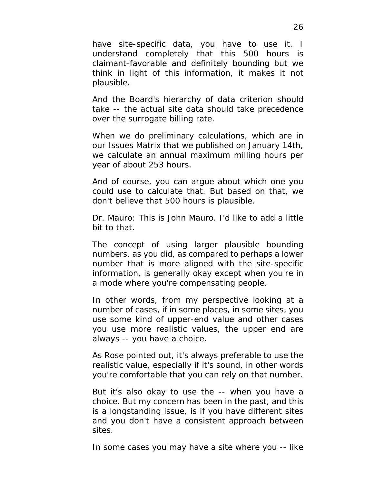have site-specific data, you have to use it. I understand completely that this 500 hours is claimant-favorable and definitely bounding but we think in light of this information, it makes it not plausible.

And the Board's hierarchy of data criterion should take -- the actual site data should take precedence over the surrogate billing rate.

When we do preliminary calculations, which are in our Issues Matrix that we published on January 14th, we calculate an annual maximum milling hours per year of about 253 hours.

And of course, you can argue about which one you could use to calculate that. But based on that, we don't believe that 500 hours is plausible.

Dr. Mauro: This is John Mauro. I'd like to add a little bit to that.

The concept of using larger plausible bounding numbers, as you did, as compared to perhaps a lower number that is more aligned with the site-specific information, is generally okay except when you're in a mode where you're compensating people.

In other words, from my perspective looking at a number of cases, if in some places, in some sites, you use some kind of upper-end value and other cases you use more realistic values, the upper end are always -- you have a choice.

As Rose pointed out, it's always preferable to use the realistic value, especially if it's sound, in other words you're comfortable that you can rely on that number.

But it's also okay to use the -- when you have a choice. But my concern has been in the past, and this is a longstanding issue, is if you have different sites and you don't have a consistent approach between sites.

In some cases you may have a site where you -- like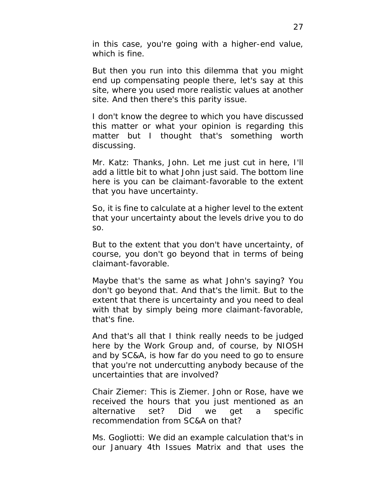in this case, you're going with a higher-end value, which is fine.

But then you run into this dilemma that you might end up compensating people there, let's say at this site, where you used more realistic values at another site. And then there's this parity issue.

I don't know the degree to which you have discussed this matter or what your opinion is regarding this matter but I thought that's something worth discussing.

Mr. Katz: Thanks, John. Let me just cut in here, I'll add a little bit to what John just said. The bottom line here is you can be claimant-favorable to the extent that you have uncertainty.

So, it is fine to calculate at a higher level to the extent that your uncertainty about the levels drive you to do so.

But to the extent that you don't have uncertainty, of course, you don't go beyond that in terms of being claimant-favorable.

Maybe that's the same as what John's saying? You don't go beyond that. And that's the limit. But to the extent that there is uncertainty and you need to deal with that by simply being more claimant-favorable, that's fine.

And that's all that I think really needs to be judged here by the Work Group and, of course, by NIOSH and by SC&A, is how far do you need to go to ensure that you're not undercutting anybody because of the uncertainties that are involved?

Chair Ziemer: This is Ziemer. John or Rose, have we received the hours that you just mentioned as an alternative set? Did we get a specific recommendation from SC&A on that?

Ms. Gogliotti: We did an example calculation that's in our January 4th Issues Matrix and that uses the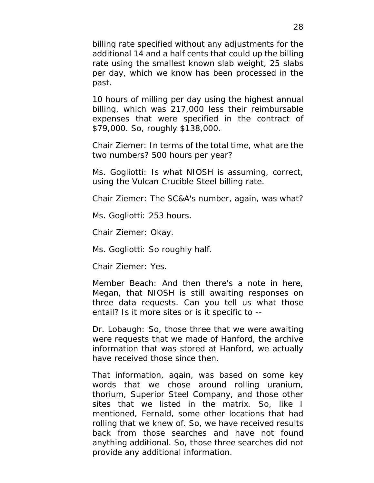billing rate specified without any adjustments for the additional 14 and a half cents that could up the billing rate using the smallest known slab weight, 25 slabs per day, which we know has been processed in the past.

10 hours of milling per day using the highest annual billing, which was 217,000 less their reimbursable expenses that were specified in the contract of \$79,000. So, roughly \$138,000.

Chair Ziemer: In terms of the total time, what are the two numbers? 500 hours per year?

Ms. Gogliotti: Is what NIOSH is assuming, correct, using the Vulcan Crucible Steel billing rate.

Chair Ziemer: The SC&A's number, again, was what?

Ms. Gogliotti: 253 hours.

Chair Ziemer: Okay.

Ms. Gogliotti: So roughly half.

Chair Ziemer: Yes.

Member Beach: And then there's a note in here, Megan, that NIOSH is still awaiting responses on three data requests. Can you tell us what those entail? Is it more sites or is it specific to --

Dr. Lobaugh: So, those three that we were awaiting were requests that we made of Hanford, the archive information that was stored at Hanford, we actually have received those since then.

That information, again, was based on some key words that we chose around rolling uranium, thorium, Superior Steel Company, and those other sites that we listed in the matrix. So, like I mentioned, Fernald, some other locations that had rolling that we knew of. So, we have received results back from those searches and have not found anything additional. So, those three searches did not provide any additional information.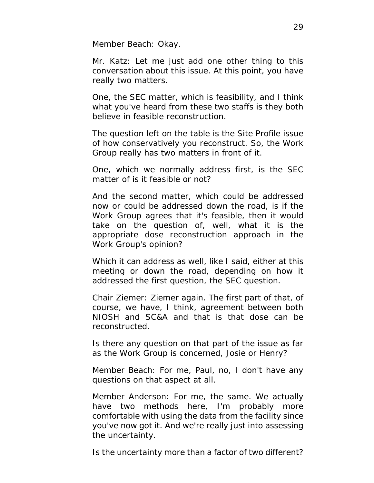Member Beach: Okay.

Mr. Katz: Let me just add one other thing to this conversation about this issue. At this point, you have really two matters.

One, the SEC matter, which is feasibility, and I think what you've heard from these two staffs is they both believe in feasible reconstruction.

The question left on the table is the Site Profile issue of how conservatively you reconstruct. So, the Work Group really has two matters in front of it.

One, which we normally address first, is the SEC matter of is it feasible or not?

And the second matter, which could be addressed now or could be addressed down the road, is if the Work Group agrees that it's feasible, then it would take on the question of, well, what it is the appropriate dose reconstruction approach in the Work Group's opinion?

Which it can address as well, like I said, either at this meeting or down the road, depending on how it addressed the first question, the SEC question.

Chair Ziemer: Ziemer again. The first part of that, of course, we have, I think, agreement between both NIOSH and SC&A and that is that dose can be reconstructed.

Is there any question on that part of the issue as far as the Work Group is concerned, Josie or Henry?

Member Beach: For me, Paul, no, I don't have any questions on that aspect at all.

Member Anderson: For me, the same. We actually have two methods here, I'm probably more comfortable with using the data from the facility since you've now got it. And we're really just into assessing the uncertainty.

Is the uncertainty more than a factor of two different?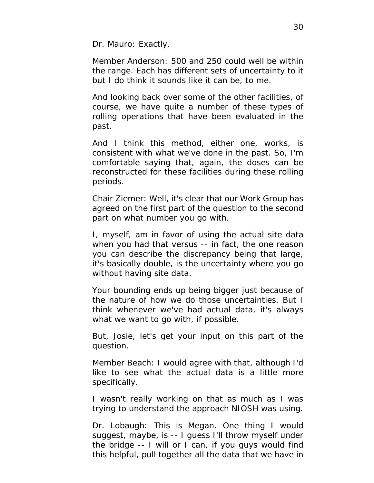Dr. Mauro: Exactly.

Member Anderson: 500 and 250 could well be within the range. Each has different sets of uncertainty to it but I do think it sounds like it can be, to me.

And looking back over some of the other facilities, of course, we have quite a number of these types of rolling operations that have been evaluated in the past.

And I think this method, either one, works, is consistent with what we've done in the past. So, I'm comfortable saying that, again, the doses can be reconstructed for these facilities during these rolling periods.

Chair Ziemer: Well, it's clear that our Work Group has agreed on the first part of the question to the second part on what number you go with.

I, myself, am in favor of using the actual site data when you had that versus -- in fact, the one reason you can describe the discrepancy being that large, it's basically double, is the uncertainty where you go without having site data.

Your bounding ends up being bigger just because of the nature of how we do those uncertainties. But I think whenever we've had actual data, it's always what we want to go with, if possible.

But, Josie, let's get your input on this part of the question.

Member Beach: I would agree with that, although I'd like to see what the actual data is a little more specifically.

I wasn't really working on that as much as I was trying to understand the approach NIOSH was using.

Dr. Lobaugh: This is Megan. One thing I would suggest, maybe, is -- I guess I'll throw myself under the bridge -- I will or I can, if you guys would find this helpful, pull together all the data that we have in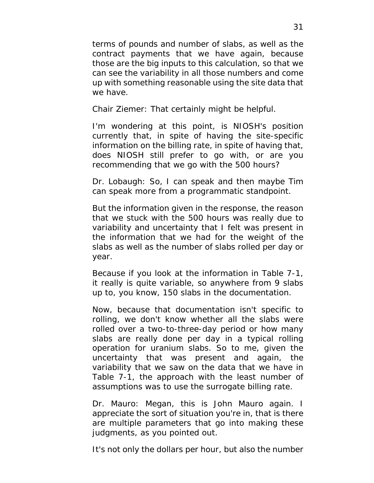terms of pounds and number of slabs, as well as the contract payments that we have again, because those are the big inputs to this calculation, so that we can see the variability in all those numbers and come up with something reasonable using the site data that we have.

Chair Ziemer: That certainly might be helpful.

I'm wondering at this point, is NIOSH's position currently that, in spite of having the site-specific information on the billing rate, in spite of having that, does NIOSH still prefer to go with, or are you recommending that we go with the 500 hours?

Dr. Lobaugh: So, I can speak and then maybe Tim can speak more from a programmatic standpoint.

But the information given in the response, the reason that we stuck with the 500 hours was really due to variability and uncertainty that I felt was present in the information that we had for the weight of the slabs as well as the number of slabs rolled per day or year.

Because if you look at the information in Table 7-1, it really is quite variable, so anywhere from 9 slabs up to, you know, 150 slabs in the documentation.

Now, because that documentation isn't specific to rolling, we don't know whether all the slabs were rolled over a two-to-three-day period or how many slabs are really done per day in a typical rolling operation for uranium slabs. So to me, given the uncertainty that was present and again, the variability that we saw on the data that we have in Table 7-1, the approach with the least number of assumptions was to use the surrogate billing rate.

Dr. Mauro: Megan, this is John Mauro again. I appreciate the sort of situation you're in, that is there are multiple parameters that go into making these judgments, as you pointed out.

It's not only the dollars per hour, but also the number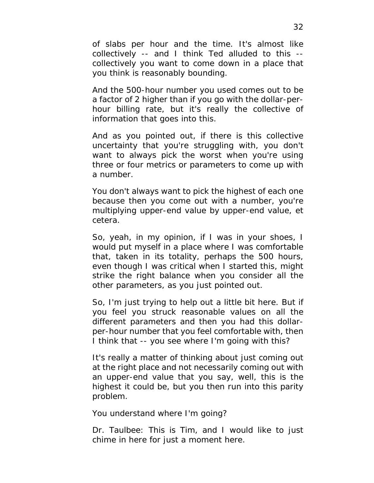of slabs per hour and the time. It's almost like collectively -- and I think Ted alluded to this - collectively you want to come down in a place that you think is reasonably bounding.

And the 500-hour number you used comes out to be a factor of 2 higher than if you go with the dollar-perhour billing rate, but it's really the collective of information that goes into this.

And as you pointed out, if there is this collective uncertainty that you're struggling with, you don't want to always pick the worst when you're using three or four metrics or parameters to come up with a number.

You don't always want to pick the highest of each one because then you come out with a number, you're multiplying upper-end value by upper-end value, et cetera.

So, yeah, in my opinion, if I was in your shoes, I would put myself in a place where I was comfortable that, taken in its totality, perhaps the 500 hours, even though I was critical when I started this, might strike the right balance when you consider all the other parameters, as you just pointed out.

So, I'm just trying to help out a little bit here. But if you feel you struck reasonable values on all the different parameters and then you had this dollarper-hour number that you feel comfortable with, then I think that -- you see where I'm going with this?

It's really a matter of thinking about just coming out at the right place and not necessarily coming out with an upper-end value that you say, well, this is the highest it could be, but you then run into this parity problem.

You understand where I'm going?

Dr. Taulbee: This is Tim, and I would like to just chime in here for just a moment here.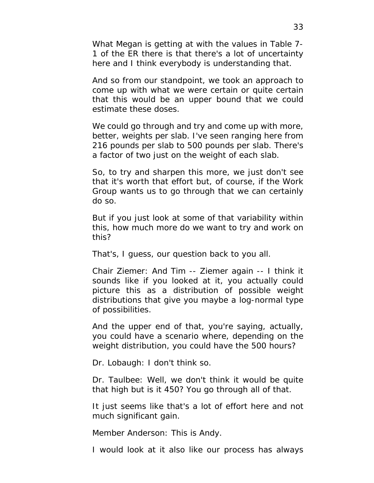What Megan is getting at with the values in Table 7- 1 of the ER there is that there's a lot of uncertainty here and I think everybody is understanding that.

And so from our standpoint, we took an approach to come up with what we were certain or quite certain that this would be an upper bound that we could estimate these doses.

We could go through and try and come up with more, better, weights per slab. I've seen ranging here from 216 pounds per slab to 500 pounds per slab. There's a factor of two just on the weight of each slab.

So, to try and sharpen this more, we just don't see that it's worth that effort but, of course, if the Work Group wants us to go through that we can certainly do so.

But if you just look at some of that variability within this, how much more do we want to try and work on this?

That's, I guess, our question back to you all.

Chair Ziemer: And Tim -- Ziemer again -- I think it sounds like if you looked at it, you actually could picture this as a distribution of possible weight distributions that give you maybe a log-normal type of possibilities.

And the upper end of that, you're saying, actually, you could have a scenario where, depending on the weight distribution, you could have the 500 hours?

Dr. Lobaugh: I don't think so.

Dr. Taulbee: Well, we don't think it would be quite that high but is it 450? You go through all of that.

It just seems like that's a lot of effort here and not much significant gain.

Member Anderson: This is Andy.

I would look at it also like our process has always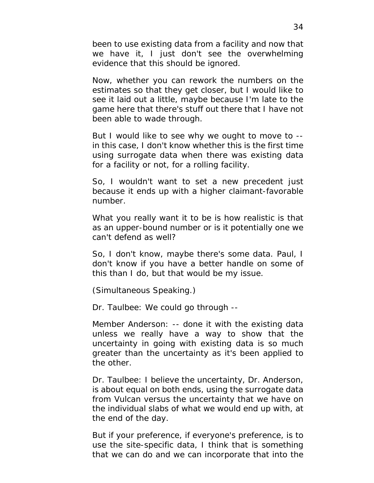been to use existing data from a facility and now that we have it, I just don't see the overwhelming evidence that this should be ignored.

Now, whether you can rework the numbers on the estimates so that they get closer, but I would like to see it laid out a little, maybe because I'm late to the game here that there's stuff out there that I have not been able to wade through.

But I would like to see why we ought to move to - in this case, I don't know whether this is the first time using surrogate data when there was existing data for a facility or not, for a rolling facility.

So, I wouldn't want to set a new precedent just because it ends up with a higher claimant-favorable number.

What you really want it to be is how realistic is that as an upper-bound number or is it potentially one we can't defend as well?

So, I don't know, maybe there's some data. Paul, I don't know if you have a better handle on some of this than I do, but that would be my issue.

(Simultaneous Speaking.)

Dr. Taulbee: We could go through --

Member Anderson: -- done it with the existing data unless we really have a way to show that the uncertainty in going with existing data is so much greater than the uncertainty as it's been applied to the other.

Dr. Taulbee: I believe the uncertainty, Dr. Anderson, is about equal on both ends, using the surrogate data from Vulcan versus the uncertainty that we have on the individual slabs of what we would end up with, at the end of the day.

But if your preference, if everyone's preference, is to use the site-specific data, I think that is something that we can do and we can incorporate that into the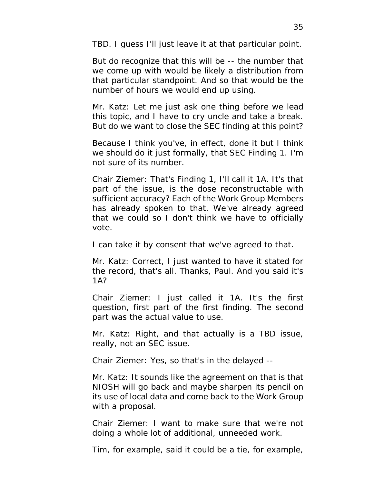TBD. I guess I'll just leave it at that particular point.

But do recognize that this will be -- the number that we come up with would be likely a distribution from that particular standpoint. And so that would be the number of hours we would end up using.

Mr. Katz: Let me just ask one thing before we lead this topic, and I have to cry uncle and take a break. But do we want to close the SEC finding at this point?

Because I think you've, in effect, done it but I think we should do it just formally, that SEC Finding 1. I'm not sure of its number.

Chair Ziemer: That's Finding 1, I'll call it 1A. It's that part of the issue, is the dose reconstructable with sufficient accuracy? Each of the Work Group Members has already spoken to that. We've already agreed that we could so I don't think we have to officially vote.

I can take it by consent that we've agreed to that.

Mr. Katz: Correct, I just wanted to have it stated for the record, that's all. Thanks, Paul. And you said it's 1A?

Chair Ziemer: I just called it 1A. It's the first question, first part of the first finding. The second part was the actual value to use.

Mr. Katz: Right, and that actually is a TBD issue, really, not an SEC issue.

Chair Ziemer: Yes, so that's in the delayed --

Mr. Katz: It sounds like the agreement on that is that NIOSH will go back and maybe sharpen its pencil on its use of local data and come back to the Work Group with a proposal.

Chair Ziemer: I want to make sure that we're not doing a whole lot of additional, unneeded work.

Tim, for example, said it could be a tie, for example,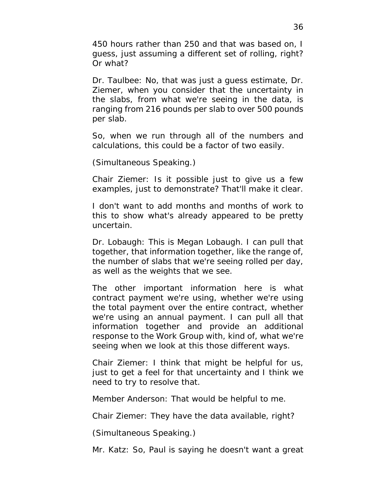450 hours rather than 250 and that was based on, I guess, just assuming a different set of rolling, right? Or what?

Dr. Taulbee: No, that was just a guess estimate, Dr. Ziemer, when you consider that the uncertainty in the slabs, from what we're seeing in the data, is ranging from 216 pounds per slab to over 500 pounds per slab.

So, when we run through all of the numbers and calculations, this could be a factor of two easily.

(Simultaneous Speaking.)

Chair Ziemer: Is it possible just to give us a few examples, just to demonstrate? That'll make it clear.

I don't want to add months and months of work to this to show what's already appeared to be pretty uncertain.

Dr. Lobaugh: This is Megan Lobaugh. I can pull that together, that information together, like the range of, the number of slabs that we're seeing rolled per day, as well as the weights that we see.

The other important information here is what contract payment we're using, whether we're using the total payment over the entire contract, whether we're using an annual payment. I can pull all that information together and provide an additional response to the Work Group with, kind of, what we're seeing when we look at this those different ways.

Chair Ziemer: I think that might be helpful for us, just to get a feel for that uncertainty and I think we need to try to resolve that.

Member Anderson: That would be helpful to me.

Chair Ziemer: They have the data available, right?

(Simultaneous Speaking.)

Mr. Katz: So, Paul is saying he doesn't want a great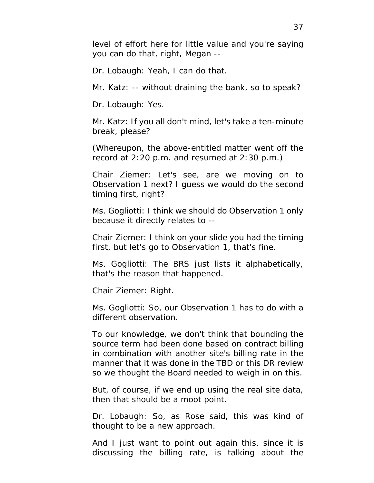level of effort here for little value and you're saying you can do that, right, Megan --

Dr. Lobaugh: Yeah, I can do that.

Mr. Katz: -- without draining the bank, so to speak?

Dr. Lobaugh: Yes.

Mr. Katz: If you all don't mind, let's take a ten-minute break, please?

(Whereupon, the above-entitled matter went off the record at 2:20 p.m. and resumed at 2:30 p.m.)

Chair Ziemer: Let's see, are we moving on to Observation 1 next? I guess we would do the second timing first, right?

Ms. Gogliotti: I think we should do Observation 1 only because it directly relates to --

Chair Ziemer: I think on your slide you had the timing first, but let's go to Observation 1, that's fine.

Ms. Gogliotti: The BRS just lists it alphabetically, that's the reason that happened.

Chair Ziemer: Right.

Ms. Gogliotti: So, our Observation 1 has to do with a different observation.

To our knowledge, we don't think that bounding the source term had been done based on contract billing in combination with another site's billing rate in the manner that it was done in the TBD or this DR review so we thought the Board needed to weigh in on this.

But, of course, if we end up using the real site data, then that should be a moot point.

Dr. Lobaugh: So, as Rose said, this was kind of thought to be a new approach.

And I just want to point out again this, since it is discussing the billing rate, is talking about the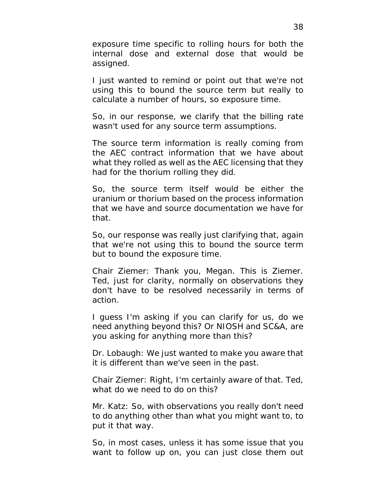exposure time specific to rolling hours for both the internal dose and external dose that would be assigned.

I just wanted to remind or point out that we're not using this to bound the source term but really to calculate a number of hours, so exposure time.

So, in our response, we clarify that the billing rate wasn't used for any source term assumptions.

The source term information is really coming from the AEC contract information that we have about what they rolled as well as the AEC licensing that they had for the thorium rolling they did.

So, the source term itself would be either the uranium or thorium based on the process information that we have and source documentation we have for that.

So, our response was really just clarifying that, again that we're not using this to bound the source term but to bound the exposure time.

Chair Ziemer: Thank you, Megan. This is Ziemer. Ted, just for clarity, normally on observations they don't have to be resolved necessarily in terms of action.

I guess I'm asking if you can clarify for us, do we need anything beyond this? Or NIOSH and SC&A, are you asking for anything more than this?

Dr. Lobaugh: We just wanted to make you aware that it is different than we've seen in the past.

Chair Ziemer: Right, I'm certainly aware of that. Ted, what do we need to do on this?

Mr. Katz: So, with observations you really don't need to do anything other than what you might want to, to put it that way.

So, in most cases, unless it has some issue that you want to follow up on, you can just close them out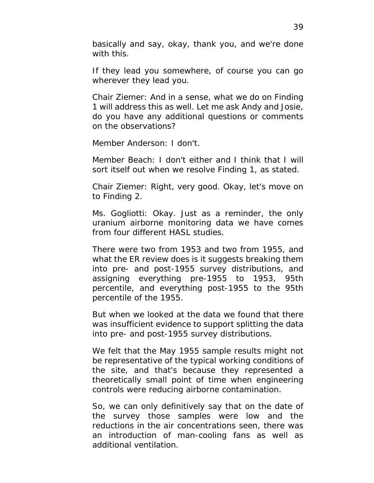basically and say, okay, thank you, and we're done with this.

If they lead you somewhere, of course you can go wherever they lead you.

Chair Ziemer: And in a sense, what we do on Finding 1 will address this as well. Let me ask Andy and Josie, do you have any additional questions or comments on the observations?

Member Anderson: I don't.

Member Beach: I don't either and I think that I will sort itself out when we resolve Finding 1, as stated.

Chair Ziemer: Right, very good. Okay, let's move on to Finding 2.

Ms. Gogliotti: Okay. Just as a reminder, the only uranium airborne monitoring data we have comes from four different HASL studies.

There were two from 1953 and two from 1955, and what the ER review does is it suggests breaking them into pre- and post-1955 survey distributions, and assigning everything pre-1955 to 1953, 95th percentile, and everything post-1955 to the 95th percentile of the 1955.

But when we looked at the data we found that there was insufficient evidence to support splitting the data into pre- and post-1955 survey distributions.

We felt that the May 1955 sample results might not be representative of the typical working conditions of the site, and that's because they represented a theoretically small point of time when engineering controls were reducing airborne contamination.

So, we can only definitively say that on the date of the survey those samples were low and the reductions in the air concentrations seen, there was an introduction of man-cooling fans as well as additional ventilation.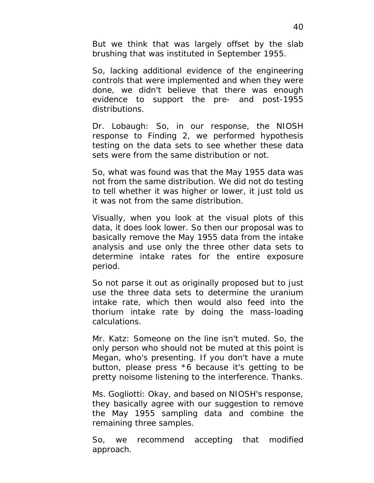But we think that was largely offset by the slab brushing that was instituted in September 1955.

So, lacking additional evidence of the engineering controls that were implemented and when they were done, we didn't believe that there was enough evidence to support the pre- and post-1955 distributions.

Dr. Lobaugh: So, in our response, the NIOSH response to Finding 2, we performed hypothesis testing on the data sets to see whether these data sets were from the same distribution or not.

So, what was found was that the May 1955 data was not from the same distribution. We did not do testing to tell whether it was higher or lower, it just told us it was not from the same distribution.

Visually, when you look at the visual plots of this data, it does look lower. So then our proposal was to basically remove the May 1955 data from the intake analysis and use only the three other data sets to determine intake rates for the entire exposure period.

So not parse it out as originally proposed but to just use the three data sets to determine the uranium intake rate, which then would also feed into the thorium intake rate by doing the mass-loading calculations.

Mr. Katz: Someone on the line isn't muted. So, the only person who should not be muted at this point is Megan, who's presenting. If you don't have a mute button, please press \*6 because it's getting to be pretty noisome listening to the interference. Thanks.

Ms. Gogliotti: Okay, and based on NIOSH's response, they basically agree with our suggestion to remove the May 1955 sampling data and combine the remaining three samples.

So, we recommend accepting that modified approach.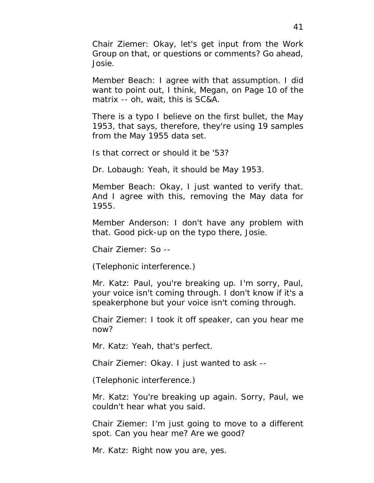Chair Ziemer: Okay, let's get input from the Work Group on that, or questions or comments? Go ahead, Josie.

Member Beach: I agree with that assumption. I did want to point out, I think, Megan, on Page 10 of the matrix -- oh, wait, this is SC&A.

There is a typo I believe on the first bullet, the May 1953, that says, therefore, they're using 19 samples from the May 1955 data set.

Is that correct or should it be '53?

Dr. Lobaugh: Yeah, it should be May 1953.

Member Beach: Okay, I just wanted to verify that. And I agree with this, removing the May data for 1955.

Member Anderson: I don't have any problem with that. Good pick-up on the typo there, Josie.

Chair Ziemer: So --

(Telephonic interference.)

Mr. Katz: Paul, you're breaking up. I'm sorry, Paul, your voice isn't coming through. I don't know if it's a speakerphone but your voice isn't coming through.

Chair Ziemer: I took it off speaker, can you hear me now?

Mr. Katz: Yeah, that's perfect.

Chair Ziemer: Okay. I just wanted to ask --

(Telephonic interference.)

Mr. Katz: You're breaking up again. Sorry, Paul, we couldn't hear what you said.

Chair Ziemer: I'm just going to move to a different spot. Can you hear me? Are we good?

Mr. Katz: Right now you are, yes.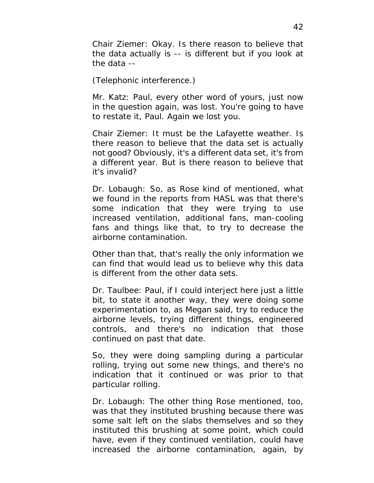Chair Ziemer: Okay. Is there reason to believe that the data actually is -- is different but if you look at the data --

(Telephonic interference.)

Mr. Katz: Paul, every other word of yours, just now in the question again, was lost. You're going to have to restate it, Paul. Again we lost you.

Chair Ziemer: It must be the Lafayette weather. Is there reason to believe that the data set is actually not good? Obviously, it's a different data set, it's from a different year. But is there reason to believe that it's invalid?

Dr. Lobaugh: So, as Rose kind of mentioned, what we found in the reports from HASL was that there's some indication that they were trying to use increased ventilation, additional fans, man-cooling fans and things like that, to try to decrease the airborne contamination.

Other than that, that's really the only information we can find that would lead us to believe why this data is different from the other data sets.

Dr. Taulbee: Paul, if I could interject here just a little bit, to state it another way, they were doing some experimentation to, as Megan said, try to reduce the airborne levels, trying different things, engineered controls, and there's no indication that those continued on past that date.

So, they were doing sampling during a particular rolling, trying out some new things, and there's no indication that it continued or was prior to that particular rolling.

Dr. Lobaugh: The other thing Rose mentioned, too, was that they instituted brushing because there was some salt left on the slabs themselves and so they instituted this brushing at some point, which could have, even if they continued ventilation, could have increased the airborne contamination, again, by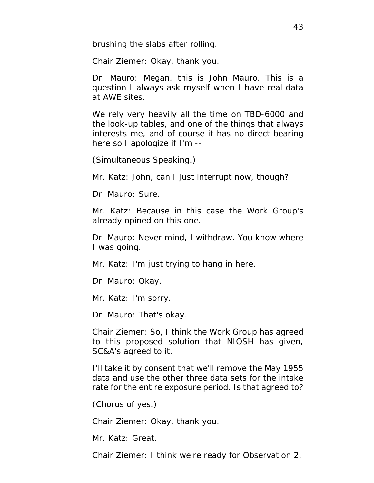brushing the slabs after rolling.

Chair Ziemer: Okay, thank you.

Dr. Mauro: Megan, this is John Mauro. This is a question I always ask myself when I have real data at AWE sites.

We rely very heavily all the time on TBD-6000 and the look-up tables, and one of the things that always interests me, and of course it has no direct bearing here so I apologize if I'm --

(Simultaneous Speaking.)

Mr. Katz: John, can I just interrupt now, though?

Dr. Mauro: Sure.

Mr. Katz: Because in this case the Work Group's already opined on this one.

Dr. Mauro: Never mind, I withdraw. You know where I was going.

Mr. Katz: I'm just trying to hang in here.

Dr. Mauro: Okay.

Mr. Katz: I'm sorry.

Dr. Mauro: That's okay.

Chair Ziemer: So, I think the Work Group has agreed to this proposed solution that NIOSH has given, SC&A's agreed to it.

I'll take it by consent that we'll remove the May 1955 data and use the other three data sets for the intake rate for the entire exposure period. Is that agreed to?

(Chorus of yes.)

Chair Ziemer: Okay, thank you.

Mr. Katz: Great.

Chair Ziemer: I think we're ready for Observation 2.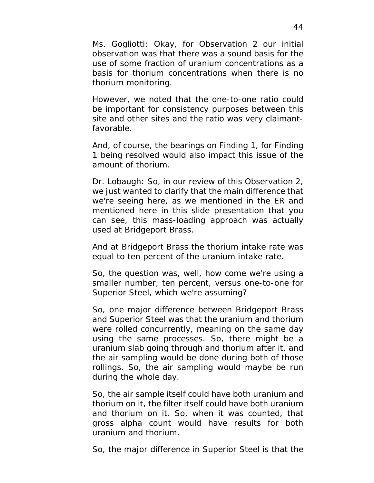Ms. Gogliotti: Okay, for Observation 2 our initial observation was that there was a sound basis for the use of some fraction of uranium concentrations as a basis for thorium concentrations when there is no thorium monitoring.

However, we noted that the one-to-one ratio could be important for consistency purposes between this site and other sites and the ratio was very claimantfavorable.

And, of course, the bearings on Finding 1, for Finding 1 being resolved would also impact this issue of the amount of thorium.

Dr. Lobaugh: So, in our review of this Observation 2, we just wanted to clarify that the main difference that we're seeing here, as we mentioned in the ER and mentioned here in this slide presentation that you can see, this mass-loading approach was actually used at Bridgeport Brass.

And at Bridgeport Brass the thorium intake rate was equal to ten percent of the uranium intake rate.

So, the question was, well, how come we're using a smaller number, ten percent, versus one-to-one for Superior Steel, which we're assuming?

So, one major difference between Bridgeport Brass and Superior Steel was that the uranium and thorium were rolled concurrently, meaning on the same day using the same processes. So, there might be a uranium slab going through and thorium after it, and the air sampling would be done during both of those rollings. So, the air sampling would maybe be run during the whole day.

So, the air sample itself could have both uranium and thorium on it, the filter itself could have both uranium and thorium on it. So, when it was counted, that gross alpha count would have results for both uranium and thorium.

So, the major difference in Superior Steel is that the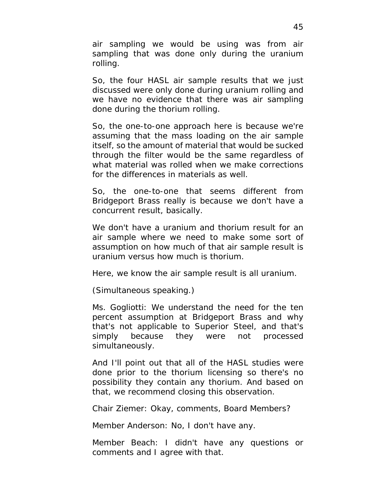air sampling we would be using was from air sampling that was done only during the uranium rolling.

So, the four HASL air sample results that we just discussed were only done during uranium rolling and we have no evidence that there was air sampling done during the thorium rolling.

So, the one-to-one approach here is because we're assuming that the mass loading on the air sample itself, so the amount of material that would be sucked through the filter would be the same regardless of what material was rolled when we make corrections for the differences in materials as well.

So, the one-to-one that seems different from Bridgeport Brass really is because we don't have a concurrent result, basically.

We don't have a uranium and thorium result for an air sample where we need to make some sort of assumption on how much of that air sample result is uranium versus how much is thorium.

Here, we know the air sample result is all uranium.

(Simultaneous speaking.)

Ms. Gogliotti: We understand the need for the ten percent assumption at Bridgeport Brass and why that's not applicable to Superior Steel, and that's simply because they were not processed simultaneously.

And I'll point out that all of the HASL studies were done prior to the thorium licensing so there's no possibility they contain any thorium. And based on that, we recommend closing this observation.

Chair Ziemer: Okay, comments, Board Members?

Member Anderson: No, I don't have any.

Member Beach: I didn't have any questions or comments and I agree with that.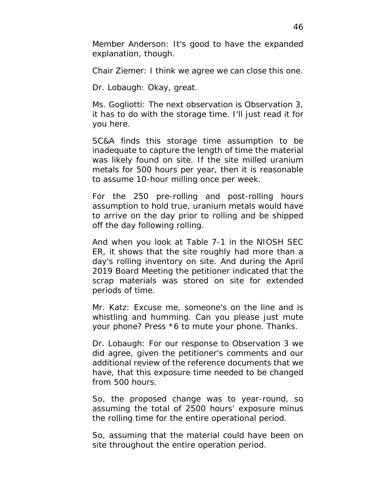Member Anderson: It's good to have the expanded explanation, though.

Chair Ziemer: I think we agree we can close this one.

Dr. Lobaugh: Okay, great.

Ms. Gogliotti: The next observation is Observation 3, it has to do with the storage time. I'll just read it for you here.

SC&A finds this storage time assumption to be inadequate to capture the length of time the material was likely found on site. If the site milled uranium metals for 500 hours per year, then it is reasonable to assume 10-hour milling once per week.

For the 250 pre-rolling and post-rolling hours assumption to hold true, uranium metals would have to arrive on the day prior to rolling and be shipped off the day following rolling.

And when you look at Table 7-1 in the NIOSH SEC ER, it shows that the site roughly had more than a day's rolling inventory on site. And during the April 2019 Board Meeting the petitioner indicated that the scrap materials was stored on site for extended periods of time.

Mr. Katz: Excuse me, someone's on the line and is whistling and humming. Can you please just mute your phone? Press \*6 to mute your phone. Thanks.

Dr. Lobaugh: For our response to Observation 3 we did agree, given the petitioner's comments and our additional review of the reference documents that we have, that this exposure time needed to be changed from 500 hours.

So, the proposed change was to year-round, so assuming the total of 2500 hours' exposure minus the rolling time for the entire operational period.

So, assuming that the material could have been on site throughout the entire operation period.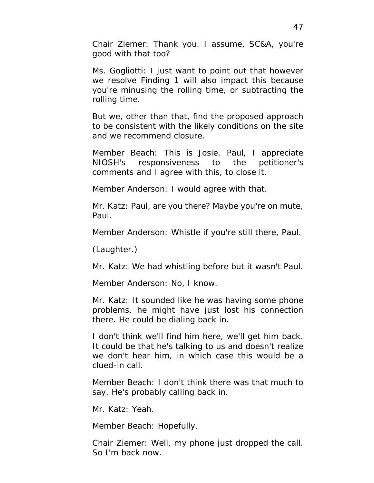Chair Ziemer: Thank you. I assume, SC&A, you're good with that too?

Ms. Gogliotti: I just want to point out that however we resolve Finding 1 will also impact this because you're minusing the rolling time, or subtracting the rolling time.

But we, other than that, find the proposed approach to be consistent with the likely conditions on the site and we recommend closure.

Member Beach: This is Josie. Paul, I appreciate NIOSH's responsiveness to the petitioner's comments and I agree with this, to close it.

Member Anderson: I would agree with that.

Mr. Katz: Paul, are you there? Maybe you're on mute, Paul.

Member Anderson: Whistle if you're still there, Paul.

(Laughter.)

Mr. Katz: We had whistling before but it wasn't Paul.

Member Anderson: No, I know.

Mr. Katz: It sounded like he was having some phone problems, he might have just lost his connection there. He could be dialing back in.

I don't think we'll find him here, we'll get him back. It could be that he's talking to us and doesn't realize we don't hear him, in which case this would be a clued-in call.

Member Beach: I don't think there was that much to say. He's probably calling back in.

Mr. Katz: Yeah.

Member Beach: Hopefully.

Chair Ziemer: Well, my phone just dropped the call. So I'm back now.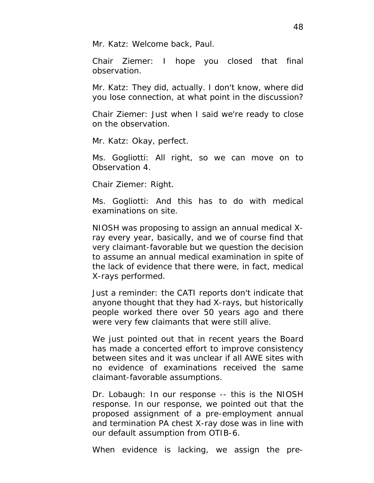Mr. Katz: Welcome back, Paul.

Chair Ziemer: I hope you closed that final observation.

Mr. Katz: They did, actually. I don't know, where did you lose connection, at what point in the discussion?

Chair Ziemer: Just when I said we're ready to close on the observation.

Mr. Katz: Okay, perfect.

Ms. Gogliotti: All right, so we can move on to Observation 4.

Chair Ziemer: Right.

Ms. Gogliotti: And this has to do with medical examinations on site.

NIOSH was proposing to assign an annual medical Xray every year, basically, and we of course find that very claimant-favorable but we question the decision to assume an annual medical examination in spite of the lack of evidence that there were, in fact, medical X-rays performed.

Just a reminder: the CATI reports don't indicate that anyone thought that they had X-rays, but historically people worked there over 50 years ago and there were very few claimants that were still alive.

We just pointed out that in recent years the Board has made a concerted effort to improve consistency between sites and it was unclear if all AWE sites with no evidence of examinations received the same claimant-favorable assumptions.

Dr. Lobaugh: In our response -- this is the NIOSH response. In our response, we pointed out that the proposed assignment of a pre-employment annual and termination PA chest X-ray dose was in line with our default assumption from OTIB-6.

When evidence is lacking, we assign the pre-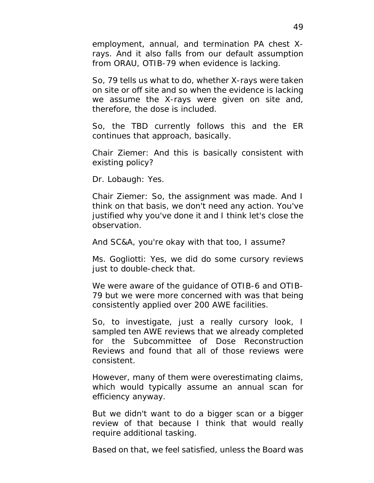employment, annual, and termination PA chest Xrays. And it also falls from our default assumption from ORAU, OTIB-79 when evidence is lacking.

So, 79 tells us what to do, whether X-rays were taken on site or off site and so when the evidence is lacking we assume the X-rays were given on site and, therefore, the dose is included.

So, the TBD currently follows this and the ER continues that approach, basically.

Chair Ziemer: And this is basically consistent with existing policy?

Dr. Lobaugh: Yes.

Chair Ziemer: So, the assignment was made. And I think on that basis, we don't need any action. You've justified why you've done it and I think let's close the observation.

And SC&A, you're okay with that too, I assume?

Ms. Gogliotti: Yes, we did do some cursory reviews just to double-check that.

We were aware of the guidance of OTIB-6 and OTIB-79 but we were more concerned with was that being consistently applied over 200 AWE facilities.

So, to investigate, just a really cursory look, I sampled ten AWE reviews that we already completed for the Subcommittee of Dose Reconstruction Reviews and found that all of those reviews were consistent.

However, many of them were overestimating claims, which would typically assume an annual scan for efficiency anyway.

But we didn't want to do a bigger scan or a bigger review of that because I think that would really require additional tasking.

Based on that, we feel satisfied, unless the Board was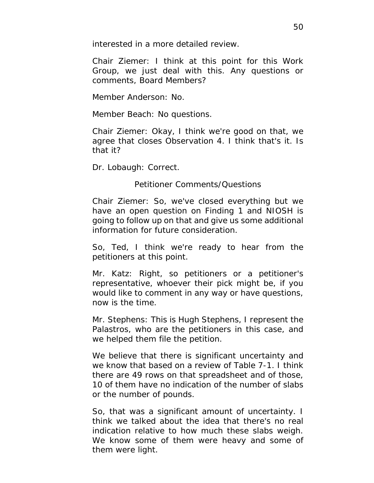interested in a more detailed review.

Chair Ziemer: I think at this point for this Work Group, we just deal with this. Any questions or comments, Board Members?

Member Anderson: No.

Member Beach: No questions.

Chair Ziemer: Okay, I think we're good on that, we agree that closes Observation 4. I think that's it. Is that it?

<span id="page-49-0"></span>Dr. Lobaugh: Correct.

Petitioner Comments/Questions

Chair Ziemer: So, we've closed everything but we have an open question on Finding 1 and NIOSH is going to follow up on that and give us some additional information for future consideration.

So, Ted, I think we're ready to hear from the petitioners at this point.

Mr. Katz: Right, so petitioners or a petitioner's representative, whoever their pick might be, if you would like to comment in any way or have questions, now is the time.

Mr. Stephens: This is Hugh Stephens, I represent the Palastros, who are the petitioners in this case, and we helped them file the petition.

We believe that there is significant uncertainty and we know that based on a review of Table 7-1. I think there are 49 rows on that spreadsheet and of those, 10 of them have no indication of the number of slabs or the number of pounds.

So, that was a significant amount of uncertainty. I think we talked about the idea that there's no real indication relative to how much these slabs weigh. We know some of them were heavy and some of them were light.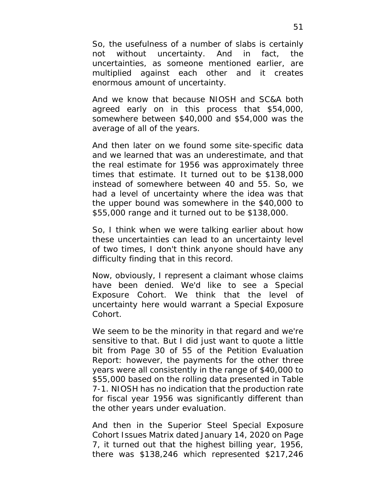So, the usefulness of a number of slabs is certainly not without uncertainty. And in fact, the uncertainties, as someone mentioned earlier, are multiplied against each other and it creates enormous amount of uncertainty.

And we know that because NIOSH and SC&A both agreed early on in this process that \$54,000, somewhere between \$40,000 and \$54,000 was the average of all of the years.

And then later on we found some site-specific data and we learned that was an underestimate, and that the real estimate for 1956 was approximately three times that estimate. It turned out to be \$138,000 instead of somewhere between 40 and 55. So, we had a level of uncertainty where the idea was that the upper bound was somewhere in the \$40,000 to \$55,000 range and it turned out to be \$138,000.

So, I think when we were talking earlier about how these uncertainties can lead to an uncertainty level of two times, I don't think anyone should have any difficulty finding that in this record.

Now, obviously, I represent a claimant whose claims have been denied. We'd like to see a Special Exposure Cohort. We think that the level of uncertainty here would warrant a Special Exposure Cohort.

We seem to be the minority in that regard and we're sensitive to that. But I did just want to quote a little bit from Page 30 of 55 of the Petition Evaluation Report: however, the payments for the other three years were all consistently in the range of \$40,000 to \$55,000 based on the rolling data presented in Table 7-1. NIOSH has no indication that the production rate for fiscal year 1956 was significantly different than the other years under evaluation.

And then in the Superior Steel Special Exposure Cohort Issues Matrix dated January 14, 2020 on Page 7, it turned out that the highest billing year, 1956, there was \$138,246 which represented \$217,246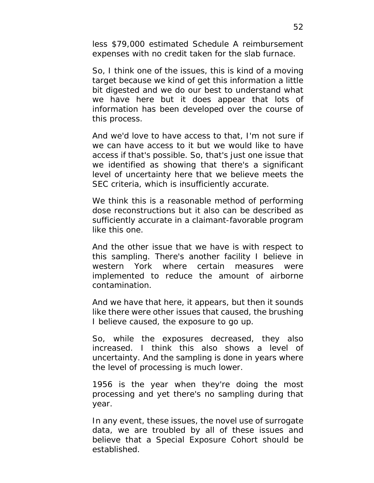less \$79,000 estimated Schedule A reimbursement expenses with no credit taken for the slab furnace.

So, I think one of the issues, this is kind of a moving target because we kind of get this information a little bit digested and we do our best to understand what we have here but it does appear that lots of information has been developed over the course of this process.

And we'd love to have access to that, I'm not sure if we can have access to it but we would like to have access if that's possible. So, that's just one issue that we identified as showing that there's a significant level of uncertainty here that we believe meets the SEC criteria, which is insufficiently accurate.

We think this is a reasonable method of performing dose reconstructions but it also can be described as sufficiently accurate in a claimant-favorable program like this one.

And the other issue that we have is with respect to this sampling. There's another facility I believe in western York where certain measures were implemented to reduce the amount of airborne contamination.

And we have that here, it appears, but then it sounds like there were other issues that caused, the brushing I believe caused, the exposure to go up.

So, while the exposures decreased, they also increased. I think this also shows a level of uncertainty. And the sampling is done in years where the level of processing is much lower.

1956 is the year when they're doing the most processing and yet there's no sampling during that year.

In any event, these issues, the novel use of surrogate data, we are troubled by all of these issues and believe that a Special Exposure Cohort should be established.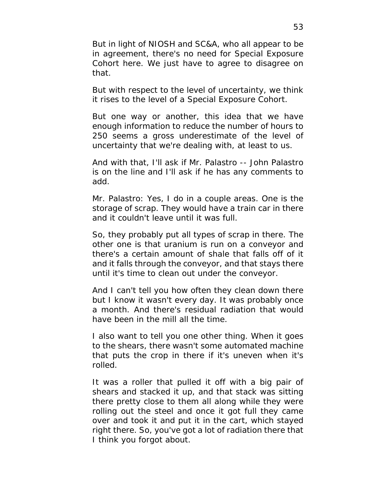But in light of NIOSH and SC&A, who all appear to be in agreement, there's no need for Special Exposure Cohort here. We just have to agree to disagree on that.

But with respect to the level of uncertainty, we think it rises to the level of a Special Exposure Cohort.

But one way or another, this idea that we have enough information to reduce the number of hours to 250 seems a gross underestimate of the level of uncertainty that we're dealing with, at least to us.

And with that, I'll ask if Mr. Palastro -- John Palastro is on the line and I'll ask if he has any comments to add.

Mr. Palastro: Yes, I do in a couple areas. One is the storage of scrap. They would have a train car in there and it couldn't leave until it was full.

So, they probably put all types of scrap in there. The other one is that uranium is run on a conveyor and there's a certain amount of shale that falls off of it and it falls through the conveyor, and that stays there until it's time to clean out under the conveyor.

And I can't tell you how often they clean down there but I know it wasn't every day. It was probably once a month. And there's residual radiation that would have been in the mill all the time.

I also want to tell you one other thing. When it goes to the shears, there wasn't some automated machine that puts the crop in there if it's uneven when it's rolled.

It was a roller that pulled it off with a big pair of shears and stacked it up, and that stack was sitting there pretty close to them all along while they were rolling out the steel and once it got full they came over and took it and put it in the cart, which stayed right there. So, you've got a lot of radiation there that I think you forgot about.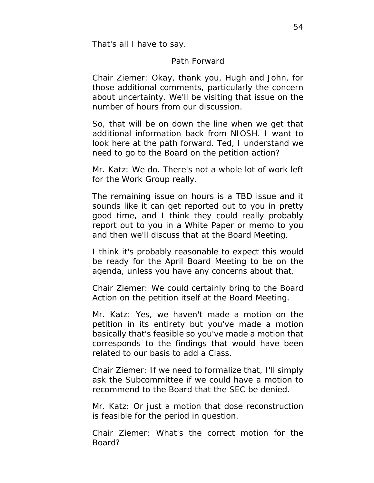<span id="page-53-0"></span>That's all I have to say.

### Path Forward

Chair Ziemer: Okay, thank you, Hugh and John, for those additional comments, particularly the concern about uncertainty. We'll be visiting that issue on the number of hours from our discussion.

So, that will be on down the line when we get that additional information back from NIOSH. I want to look here at the path forward. Ted, I understand we need to go to the Board on the petition action?

Mr. Katz: We do. There's not a whole lot of work left for the Work Group really.

The remaining issue on hours is a TBD issue and it sounds like it can get reported out to you in pretty good time, and I think they could really probably report out to you in a White Paper or memo to you and then we'll discuss that at the Board Meeting.

I think it's probably reasonable to expect this would be ready for the April Board Meeting to be on the agenda, unless you have any concerns about that.

Chair Ziemer: We could certainly bring to the Board Action on the petition itself at the Board Meeting.

Mr. Katz: Yes, we haven't made a motion on the petition in its entirety but you've made a motion basically that's feasible so you've made a motion that corresponds to the findings that would have been related to our basis to add a Class.

Chair Ziemer: If we need to formalize that, I'll simply ask the Subcommittee if we could have a motion to recommend to the Board that the SEC be denied.

Mr. Katz: Or just a motion that dose reconstruction is feasible for the period in question.

Chair Ziemer: What's the correct motion for the Board?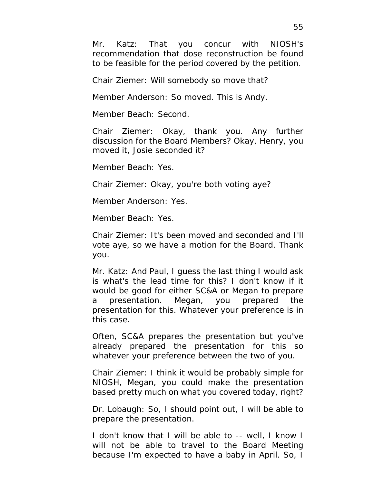Mr. Katz: That you concur with NIOSH's recommendation that dose reconstruction be found to be feasible for the period covered by the petition.

Chair Ziemer: Will somebody so move that?

Member Anderson: So moved. This is Andy.

Member Beach: Second.

Chair Ziemer: Okay, thank you. Any further discussion for the Board Members? Okay, Henry, you moved it, Josie seconded it?

Member Beach: Yes.

Chair Ziemer: Okay, you're both voting aye?

Member Anderson: Yes.

Member Beach: Yes.

Chair Ziemer: It's been moved and seconded and I'll vote aye, so we have a motion for the Board. Thank you.

Mr. Katz: And Paul, I guess the last thing I would ask is what's the lead time for this? I don't know if it would be good for either SC&A or Megan to prepare a presentation. Megan, you prepared the presentation for this. Whatever your preference is in this case.

Often, SC&A prepares the presentation but you've already prepared the presentation for this so whatever your preference between the two of you.

Chair Ziemer: I think it would be probably simple for NIOSH, Megan, you could make the presentation based pretty much on what you covered today, right?

Dr. Lobaugh: So, I should point out, I will be able to prepare the presentation.

I don't know that I will be able to -- well, I know I will not be able to travel to the Board Meeting because I'm expected to have a baby in April. So, I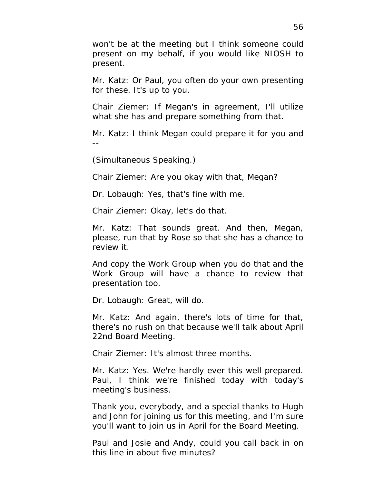won't be at the meeting but I think someone could present on my behalf, if you would like NIOSH to present.

Mr. Katz: Or Paul, you often do your own presenting for these. It's up to you.

Chair Ziemer: If Megan's in agreement, I'll utilize what she has and prepare something from that.

Mr. Katz: I think Megan could prepare it for you and --

(Simultaneous Speaking.)

Chair Ziemer: Are you okay with that, Megan?

Dr. Lobaugh: Yes, that's fine with me.

Chair Ziemer: Okay, let's do that.

Mr. Katz: That sounds great. And then, Megan, please, run that by Rose so that she has a chance to review it.

And copy the Work Group when you do that and the Work Group will have a chance to review that presentation too.

Dr. Lobaugh: Great, will do.

Mr. Katz: And again, there's lots of time for that, there's no rush on that because we'll talk about April 22nd Board Meeting.

Chair Ziemer: It's almost three months.

Mr. Katz: Yes. We're hardly ever this well prepared. Paul, I think we're finished today with today's meeting's business.

Thank you, everybody, and a special thanks to Hugh and John for joining us for this meeting, and I'm sure you'll want to join us in April for the Board Meeting.

Paul and Josie and Andy, could you call back in on this line in about five minutes?